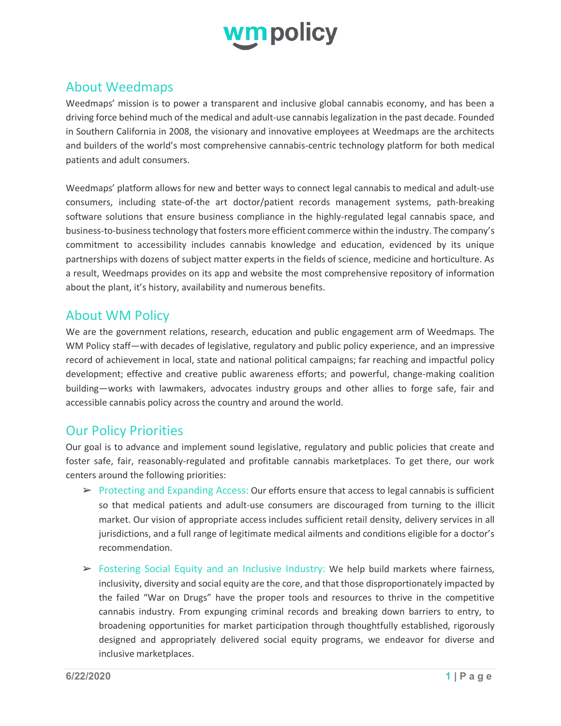

## About Weedmaps

Weedmaps' mission is to power a transparent and inclusive global cannabis economy, and has been a driving force behind much of the medical and adult-use cannabis legalization in the past decade. Founded in Southern California in 2008, the visionary and innovative employees at Weedmaps are the architects and builders of the world's most comprehensive cannabis-centric technology platform for both medical patients and adult consumers.

Weedmaps' platform allows for new and better ways to connect legal cannabis to medical and adult-use consumers, including state-of-the art doctor/patient records management systems, path-breaking software solutions that ensure business compliance in the highly-regulated legal cannabis space, and business-to-business technology that fosters more efficient commerce within the industry. The company's commitment to accessibility includes cannabis knowledge and education, evidenced by its unique partnerships with dozens of subject matter experts in the fields of science, medicine and horticulture. As a result, Weedmaps provides on its app and website the most comprehensive repository of information about the plant, it's history, availability and numerous benefits.

## About WM Policy

We are the government relations, research, education and public engagement arm of Weedmaps. The WM Policy staff—with decades of legislative, regulatory and public policy experience, and an impressive record of achievement in local, state and national political campaigns; far reaching and impactful policy development; effective and creative public awareness efforts; and powerful, change-making coalition building—works with lawmakers, advocates industry groups and other allies to forge safe, fair and accessible cannabis policy across the country and around the world.

## Our Policy Priorities

Our goal is to advance and implement sound legislative, regulatory and public policies that create and foster safe, fair, reasonably-regulated and profitable cannabis marketplaces. To get there, our work centers around the following priorities:

- $\triangleright$  Protecting and Expanding Access: Our efforts ensure that access to legal cannabis is sufficient so that medical patients and adult-use consumers are discouraged from turning to the illicit market. Our vision of appropriate access includes sufficient retail density, delivery services in all jurisdictions, and a full range of legitimate medical ailments and conditions eligible for a doctor's recommendation.
- ➢ Fostering Social Equity and an Inclusive Industry: We help build markets where fairness, inclusivity, diversity and social equity are the core, and that those disproportionately impacted by the failed "War on Drugs" have the proper tools and resources to thrive in the competitive cannabis industry. From expunging criminal records and breaking down barriers to entry, to broadening opportunities for market participation through thoughtfully established, rigorously designed and appropriately delivered social equity programs, we endeavor for diverse and inclusive marketplaces.